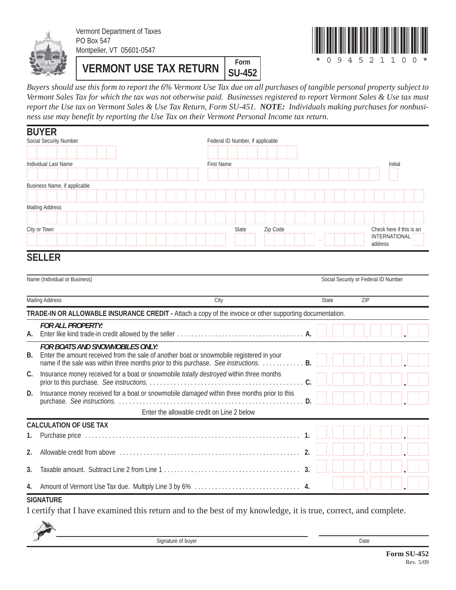

Vermont Department of Taxes PO Box 547 Montpelier, VT 05601-0547

**VERMONT USE TAX RETURN** SILAR **SU-452**



*Buyers should use this form to report the 6% Vermont Use Tax due on all purchases of tangible personal property subject to Vermont Sales Tax for which the tax was not otherwise paid. Businesses registered to report Vermont Sales & Use tax must report the Use tax on Vermont Sales & Use Tax Return, Form SU-451. NOTE: Individuals making purchases for nonbusiness use may benefit by reporting the Use Tax on their Vermont Personal Income tax return.*

|                        | <b>BUYER</b>                                                                                                                                                                                                                |                   |                                  |              |  |          |  |  |    |  |              |  |  |                                      |  |         |               |                          |
|------------------------|-----------------------------------------------------------------------------------------------------------------------------------------------------------------------------------------------------------------------------|-------------------|----------------------------------|--------------|--|----------|--|--|----|--|--------------|--|--|--------------------------------------|--|---------|---------------|--------------------------|
| Social Security Number |                                                                                                                                                                                                                             |                   | Federal ID Number, if applicable |              |  |          |  |  |    |  |              |  |  |                                      |  |         |               |                          |
|                        |                                                                                                                                                                                                                             |                   |                                  |              |  |          |  |  |    |  |              |  |  |                                      |  |         |               |                          |
|                        | Individual Last Name                                                                                                                                                                                                        | <b>First Name</b> |                                  |              |  |          |  |  |    |  |              |  |  |                                      |  |         | Initial       |                          |
|                        |                                                                                                                                                                                                                             |                   |                                  |              |  |          |  |  |    |  |              |  |  |                                      |  |         |               |                          |
|                        | Business Name, if applicable                                                                                                                                                                                                |                   |                                  |              |  |          |  |  |    |  |              |  |  |                                      |  |         |               |                          |
|                        |                                                                                                                                                                                                                             |                   |                                  |              |  |          |  |  |    |  |              |  |  |                                      |  |         |               |                          |
|                        | <b>Mailing Address</b>                                                                                                                                                                                                      |                   |                                  |              |  |          |  |  |    |  |              |  |  |                                      |  |         |               |                          |
|                        |                                                                                                                                                                                                                             |                   |                                  |              |  |          |  |  |    |  |              |  |  |                                      |  |         |               |                          |
|                        | City or Town                                                                                                                                                                                                                |                   |                                  | <b>State</b> |  | Zip Code |  |  |    |  |              |  |  |                                      |  | address | INTERNATIONAL | Check here if this is an |
|                        | <b>SELLER</b>                                                                                                                                                                                                               |                   |                                  |              |  |          |  |  |    |  |              |  |  |                                      |  |         |               |                          |
|                        | Name (Individual or Business)                                                                                                                                                                                               |                   |                                  |              |  |          |  |  |    |  |              |  |  | Social Security or Federal ID Number |  |         |               |                          |
|                        | <b>Mailing Address</b>                                                                                                                                                                                                      | City              |                                  |              |  |          |  |  |    |  | <b>State</b> |  |  | ZIP                                  |  |         |               |                          |
|                        | TRADE-IN OR ALLOWABLE INSURANCE CREDIT - Attach a copy of the invoice or other supporting documentation.                                                                                                                    |                   |                                  |              |  |          |  |  |    |  |              |  |  |                                      |  |         |               |                          |
| А.                     | <b>FOR ALL PROPERTY:</b>                                                                                                                                                                                                    |                   |                                  |              |  |          |  |  |    |  |              |  |  |                                      |  |         |               |                          |
| В.                     | <b>FOR BOATS AND SNOWMOBILES ONLY:</b><br>Enter the amount received from the sale of another boat or snowmobile registered in your<br>name if the sale was within three months prior to this purchase. See instructions. B. |                   |                                  |              |  |          |  |  |    |  |              |  |  |                                      |  |         |               |                          |
| C.                     | Insurance money received for a boat or snowmobile totally destroyed within three months                                                                                                                                     |                   |                                  |              |  |          |  |  |    |  |              |  |  |                                      |  |         |               |                          |
| D.                     | Insurance money received for a boat or snowmobile damaged within three months prior to this                                                                                                                                 |                   |                                  |              |  |          |  |  |    |  |              |  |  |                                      |  |         |               |                          |
|                        | Enter the allowable credit on Line 2 below                                                                                                                                                                                  |                   |                                  |              |  |          |  |  |    |  |              |  |  |                                      |  |         |               |                          |
|                        | <b>CALCULATION OF USE TAX</b>                                                                                                                                                                                               |                   |                                  |              |  |          |  |  |    |  |              |  |  |                                      |  |         |               |                          |
| 1.                     |                                                                                                                                                                                                                             |                   |                                  |              |  |          |  |  | 1. |  |              |  |  |                                      |  |         |               |                          |
| 2.                     |                                                                                                                                                                                                                             |                   |                                  |              |  |          |  |  | 2. |  |              |  |  |                                      |  |         |               |                          |
| 3.                     |                                                                                                                                                                                                                             |                   |                                  |              |  |          |  |  | 3. |  |              |  |  |                                      |  |         |               |                          |
| 4.                     |                                                                                                                                                                                                                             |                   |                                  |              |  |          |  |  |    |  |              |  |  |                                      |  |         |               |                          |

#### **SIGNATURE**

I certify that I have examined this return and to the best of my knowledge, it is true, correct, and complete.